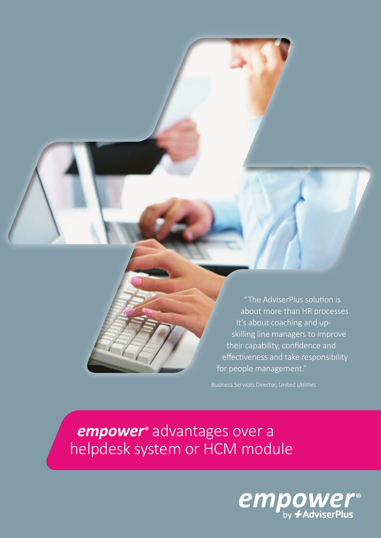

"The AdviserPlus solution is about more than HR processes. It's about coaching and upskilling line managers to improve their capability, confidence and effectiveness and take responsibility for people management."

 *empower®* advantages over a helpdesk system or HCM module